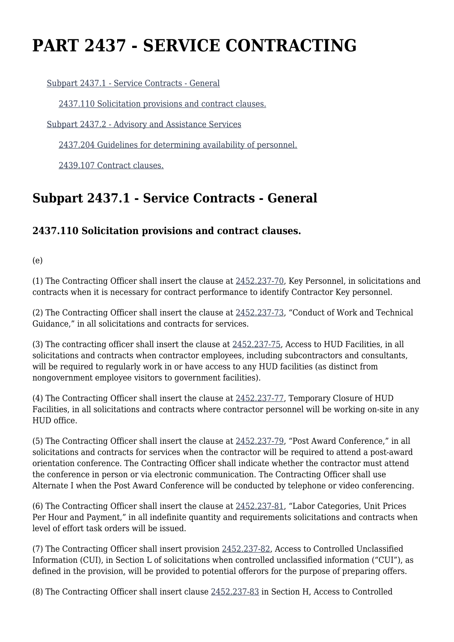# **PART 2437 - SERVICE CONTRACTING**

[Subpart 2437.1 - Service Contracts - General](https://origin-www.acquisition.gov/%5Brp:link:hudar-part-2437%5D#Subpart_2437_1_T48_60953301)

[2437.110 Solicitation provisions and contract clauses.](https://origin-www.acquisition.gov/%5Brp:link:hudar-part-2437%5D#Section_2437_110_T48_6095330111)

[Subpart 2437.2 - Advisory and Assistance Services](https://origin-www.acquisition.gov/%5Brp:link:hudar-part-2437%5D#Subpart_2437_2_T48_60953302)

[2437.204 Guidelines for determining availability of personnel.](https://origin-www.acquisition.gov/%5Brp:link:hudar-part-2437%5D#Section_2437_204_T48_6095330211)

[2439.107 Contract clauses.](https://origin-www.acquisition.gov/%5Brp:link:hudar-part-2437%5D#Section_2439_107_T48_6095330211)

## **Subpart 2437.1 - Service Contracts - General**

### **2437.110 Solicitation provisions and contract clauses.**

(e)

(1) The Contracting Officer shall insert the clause at [2452.237-70](https://origin-www.acquisition.gov/%5Brp:link:hudar-part-2452%5D#Section_2452_237_70_T48_60955371136), Key Personnel, in solicitations and contracts when it is necessary for contract performance to identify Contractor Key personnel.

(2) The Contracting Officer shall insert the clause at [2452.237-73](https://origin-www.acquisition.gov/%5Brp:link:hudar-part-2452%5D#Section_2452_237_73_T48_60955371137), "Conduct of Work and Technical Guidance," in all solicitations and contracts for services.

(3) The contracting officer shall insert the clause at [2452.237-75](https://origin-www.acquisition.gov/%5Brp:link:hudar-part-2452%5D#Section_2452_237_75_T48_60955371138), Access to HUD Facilities, in all solicitations and contracts when contractor employees, including subcontractors and consultants, will be required to regularly work in or have access to any HUD facilities (as distinct from nongovernment employee visitors to government facilities).

(4) The Contracting Officer shall insert the clause at [2452.237-77](https://origin-www.acquisition.gov/%5Brp:link:hudar-part-2452%5D#Section_2452_237_77_T48_60955371139), Temporary Closure of HUD Facilities, in all solicitations and contracts where contractor personnel will be working on-site in any HUD office.

(5) The Contracting Officer shall insert the clause at [2452.237-79](https://origin-www.acquisition.gov/%5Brp:link:hudar-part-2452%5D#Section_2452_237_79_T48_60955371140), "Post Award Conference," in all solicitations and contracts for services when the contractor will be required to attend a post-award orientation conference. The Contracting Officer shall indicate whether the contractor must attend the conference in person or via electronic communication. The Contracting Officer shall use Alternate I when the Post Award Conference will be conducted by telephone or video conferencing.

(6) The Contracting Officer shall insert the clause at [2452.237-81](https://origin-www.acquisition.gov/%5Brp:link:hudar-part-2452%5D#Section_2452_237_81_T48_60955371141), "Labor Categories, Unit Prices Per Hour and Payment," in all indefinite quantity and requirements solicitations and contracts when level of effort task orders will be issued.

(7) The Contracting Officer shall insert provision [2452.237-82](https://origin-www.acquisition.gov/%5Brp:link:hudar-part-2452%5D#Section_2452_237_82_T48_60955371142), Access to Controlled Unclassified Information (CUI), in Section L of solicitations when controlled unclassified information ("CUI"), as defined in the provision, will be provided to potential offerors for the purpose of preparing offers.

(8) The Contracting Officer shall insert clause [2452.237-83](https://origin-www.acquisition.gov/%5Brp:link:hudar-part-2452%5D#Section_2452_237_83_T48_60955371143) in Section H, Access to Controlled